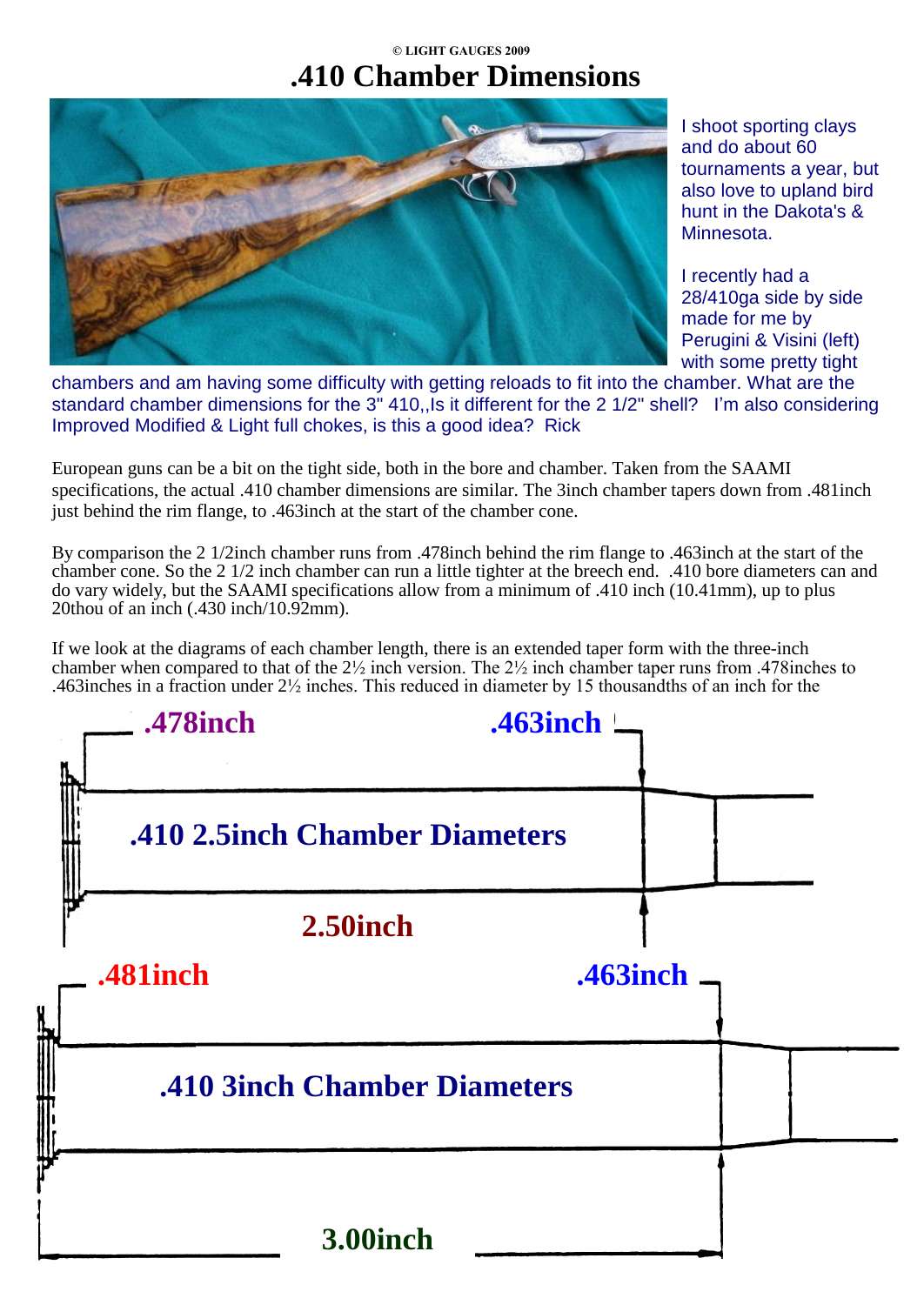## **© LIGHT GAUGES 2009 .410 Chamber Dimensions**



I shoot sporting clays and do about 60 tournaments a year, but also love to upland bird hunt in the Dakota's & Minnesota.

I recently had a 28/410ga side by side made for me by Perugini & Visini (left) with some pretty tight

chambers and am having some difficulty with getting reloads to fit into the chamber. What are the standard chamber dimensions for the 3" 410,, Is it different for the 2 1/2" shell? I'm also considering Improved Modified & Light full chokes, is this a good idea? Rick

European guns can be a bit on the tight side, both in the bore and chamber. Taken from the SAAMI specifications, the actual .410 chamber dimensions are similar. The 3inch chamber tapers down from .481inch just behind the rim flange, to .463inch at the start of the chamber cone.

By comparison the 2 1/2inch chamber runs from .478inch behind the rim flange to .463inch at the start of the chamber cone. So the 2 1/2 inch chamber can run a little tighter at the breech end. .410 bore diameters can and do vary widely, but the SAAMI specifications allow from a minimum of .410 inch (10.41mm), up to plus 20thou of an inch (.430 inch/10.92mm).

If we look at the diagrams of each chamber length, there is an extended taper form with the three-inch chamber when compared to that of the 2½ inch version. The 2½ inch chamber taper runs from .478inches to .463inches in a fraction under 2½ inches. This reduced in diameter by 15 thousandths of an inch for the